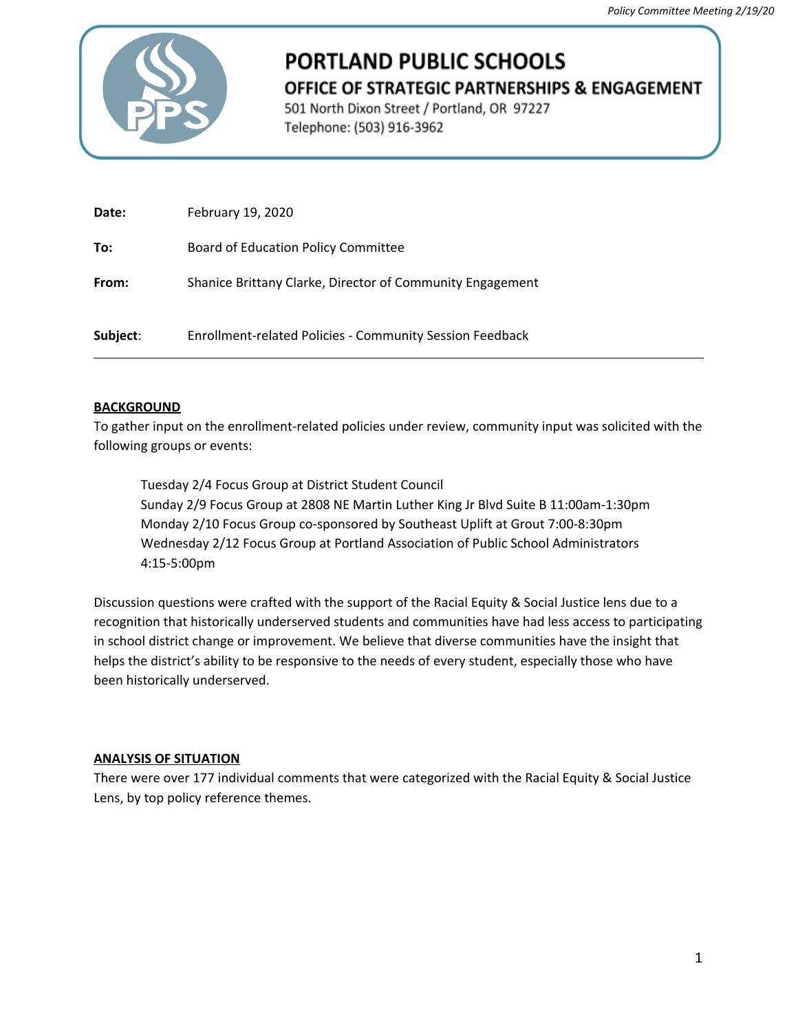

# **PORTLAND PUBLIC SCHOOLS** OFFICE OF STRATEGIC PARTNERSHIPS & ENGAGEMENT

501 North Dixon Street / Portland, OR 97227 Telephone: (503) 916-3962

| Date:    | February 19, 2020                                         |
|----------|-----------------------------------------------------------|
| To:      | Board of Education Policy Committee                       |
| From:    | Shanice Brittany Clarke, Director of Community Engagement |
| Subject: | Enrollment-related Policies - Community Session Feedback  |

## **BACKGROUND**

To gather input on the enrollment-related policies under review, community input was solicited with the following groups or events:

Tuesday 2/4 Focus Group at District Student Council Sunday 2/9 Focus Group at 2808 NE Martin Luther King Jr Blvd Suite B 11:00am-1:30pm Monday 2/10 Focus Group co-sponsored by Southeast Uplift at Grout 7:00-8:30pm Wednesday 2/12 Focus Group at Portland Association of Public School Administrators 4:15-5:00pm

Discussion questions were crafted with the support of the Racial Equity & Social Justice lens due to a recognition that historically underserved students and communities have had less access to participating in school district change or improvement. We believe that diverse communities have the insight that helps the district's ability to be responsive to the needs of every student, especially those who have been historically underserved.

#### **ANALYSIS OF SITUATION**

There were over 177 individual comments that were categorized with the Racial Equity & Social Justice Lens, by top policy reference themes.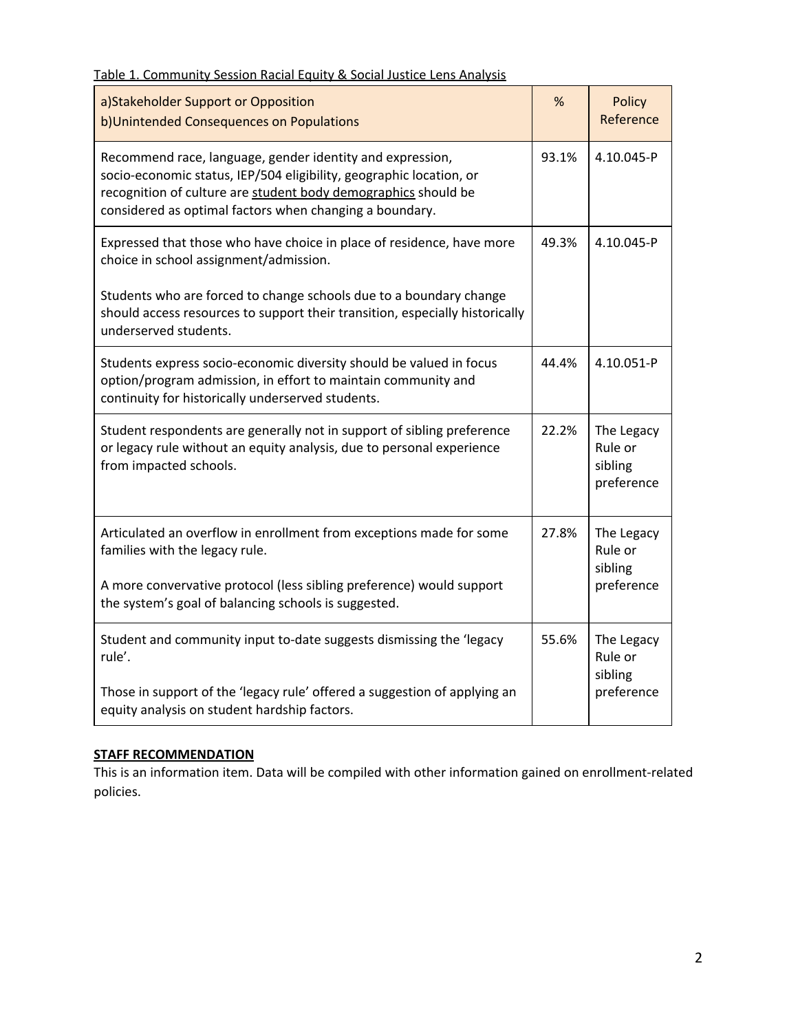| a)Stakeholder Support or Opposition<br>b)Unintended Consequences on Populations                                                                                                                                                                               |       | Policy<br>Reference                            |
|---------------------------------------------------------------------------------------------------------------------------------------------------------------------------------------------------------------------------------------------------------------|-------|------------------------------------------------|
| Recommend race, language, gender identity and expression,<br>socio-economic status, IEP/504 eligibility, geographic location, or<br>recognition of culture are student body demographics should be<br>considered as optimal factors when changing a boundary. |       | 4.10.045-P                                     |
| Expressed that those who have choice in place of residence, have more<br>choice in school assignment/admission.                                                                                                                                               |       | 4.10.045-P                                     |
| Students who are forced to change schools due to a boundary change<br>should access resources to support their transition, especially historically<br>underserved students.                                                                                   |       |                                                |
| Students express socio-economic diversity should be valued in focus<br>option/program admission, in effort to maintain community and<br>continuity for historically underserved students.                                                                     | 44.4% | 4.10.051-P                                     |
| Student respondents are generally not in support of sibling preference<br>or legacy rule without an equity analysis, due to personal experience<br>from impacted schools.                                                                                     | 22.2% | The Legacy<br>Rule or<br>sibling<br>preference |
| Articulated an overflow in enrollment from exceptions made for some<br>families with the legacy rule.                                                                                                                                                         | 27.8% | The Legacy<br>Rule or<br>sibling               |
| A more convervative protocol (less sibling preference) would support<br>the system's goal of balancing schools is suggested.                                                                                                                                  |       | preference                                     |
| Student and community input to-date suggests dismissing the 'legacy<br>rule'.                                                                                                                                                                                 |       | The Legacy<br>Rule or<br>sibling               |
| Those in support of the 'legacy rule' offered a suggestion of applying an<br>equity analysis on student hardship factors.                                                                                                                                     |       | preference                                     |

# Table 1. Community Session Racial Equity & Social Justice Lens Analysis

#### **STAFF RECOMMENDATION**

This is an information item. Data will be compiled with other information gained on enrollment-related policies.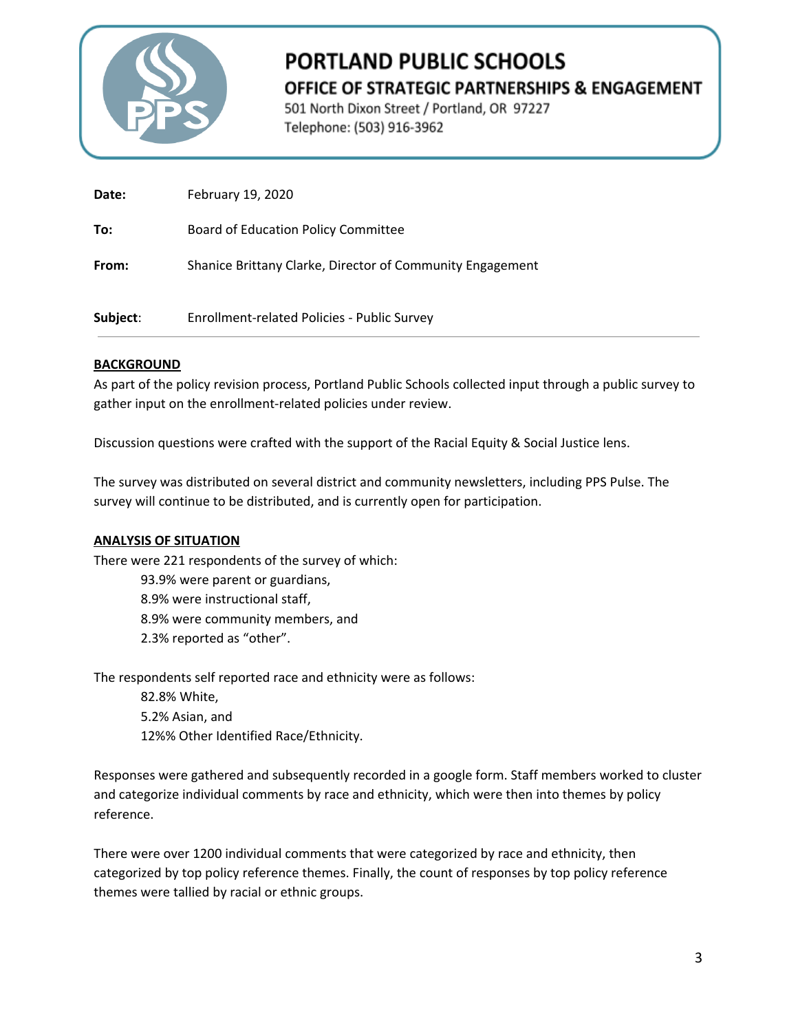

# **PORTLAND PUBLIC SCHOOLS** OFFICE OF STRATEGIC PARTNERSHIPS & ENGAGEMENT

501 North Dixon Street / Portland, OR 97227 Telephone: (503) 916-3962

| Date:    | February 19, 2020                                         |
|----------|-----------------------------------------------------------|
| To:      | Board of Education Policy Committee                       |
| From:    | Shanice Brittany Clarke, Director of Community Engagement |
| Subject: | Enrollment-related Policies - Public Survey               |

## **BACKGROUND**

As part of the policy revision process, Portland Public Schools collected input through a public survey to gather input on the enrollment-related policies under review.

Discussion questions were crafted with the support of the Racial Equity & Social Justice lens.

The survey was distributed on several district and community newsletters, including PPS Pulse. The survey will continue to be distributed, and is currently open for participation.

## **ANALYSIS OF SITUATION**

There were 221 respondents of the survey of which:

- 93.9% were parent or guardians,
- 8.9% were instructional staff, 8.9% were community members, and 2.3% reported as "other".

The respondents self reported race and ethnicity were as follows:

82.8% White, 5.2% Asian, and 12%% Other Identified Race/Ethnicity.

Responses were gathered and subsequently recorded in a google form. Staff members worked to cluster and categorize individual comments by race and ethnicity, which were then into themes by policy reference.

There were over 1200 individual comments that were categorized by race and ethnicity, then categorized by top policy reference themes. Finally, the count of responses by top policy reference themes were tallied by racial or ethnic groups.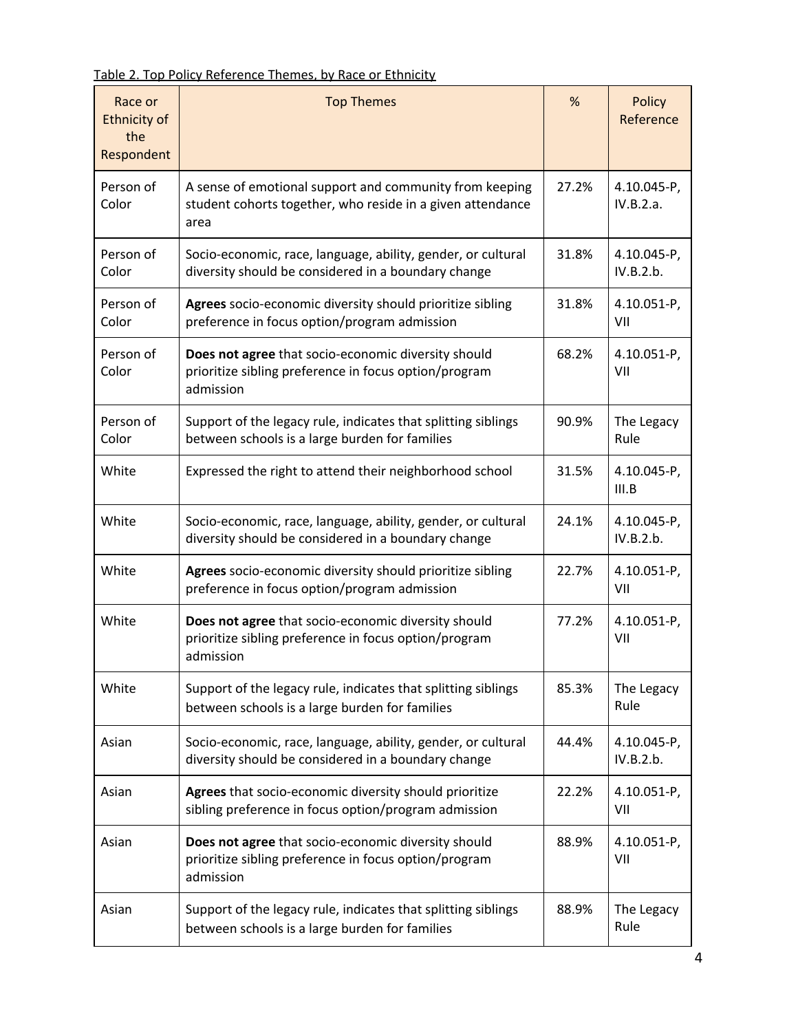Table 2. Top Policy Reference Themes, by Race or Ethnicity

| Race or<br><b>Ethnicity of</b><br>the<br>Respondent | <b>Top Themes</b>                                                                                                             | %     | <b>Policy</b><br>Reference |
|-----------------------------------------------------|-------------------------------------------------------------------------------------------------------------------------------|-------|----------------------------|
| Person of<br>Color                                  | A sense of emotional support and community from keeping<br>student cohorts together, who reside in a given attendance<br>area | 27.2% | 4.10.045-P,<br>IV.B.2.a.   |
| Person of<br>Color                                  | Socio-economic, race, language, ability, gender, or cultural<br>diversity should be considered in a boundary change           | 31.8% | 4.10.045-P,<br>IV.B.2.b.   |
| Person of<br>Color                                  | Agrees socio-economic diversity should prioritize sibling<br>preference in focus option/program admission                     | 31.8% | 4.10.051-P,<br>VII         |
| Person of<br>Color                                  | Does not agree that socio-economic diversity should<br>prioritize sibling preference in focus option/program<br>admission     | 68.2% | 4.10.051-P,<br>VII         |
| Person of<br>Color                                  | Support of the legacy rule, indicates that splitting siblings<br>between schools is a large burden for families               | 90.9% | The Legacy<br>Rule         |
| White                                               | Expressed the right to attend their neighborhood school                                                                       | 31.5% | 4.10.045-P,<br>III.B       |
| White                                               | Socio-economic, race, language, ability, gender, or cultural<br>diversity should be considered in a boundary change           | 24.1% | 4.10.045-P,<br>IV.B.2.b.   |
| White                                               | Agrees socio-economic diversity should prioritize sibling<br>preference in focus option/program admission                     | 22.7% | 4.10.051-P,<br>VII         |
| White                                               | Does not agree that socio-economic diversity should<br>prioritize sibling preference in focus option/program<br>admission     | 77.2% | 4.10.051-P,<br>VII         |
| White                                               | Support of the legacy rule, indicates that splitting siblings<br>between schools is a large burden for families               | 85.3% | The Legacy<br>Rule         |
| Asian                                               | Socio-economic, race, language, ability, gender, or cultural<br>diversity should be considered in a boundary change           | 44.4% | 4.10.045-P,<br>IV.B.2.b.   |
| Asian                                               | Agrees that socio-economic diversity should prioritize<br>sibling preference in focus option/program admission                | 22.2% | 4.10.051-P,<br>VII         |
| Asian                                               | Does not agree that socio-economic diversity should<br>prioritize sibling preference in focus option/program<br>admission     | 88.9% | 4.10.051-P,<br>VII         |
| Asian                                               | Support of the legacy rule, indicates that splitting siblings<br>between schools is a large burden for families               | 88.9% | The Legacy<br>Rule         |